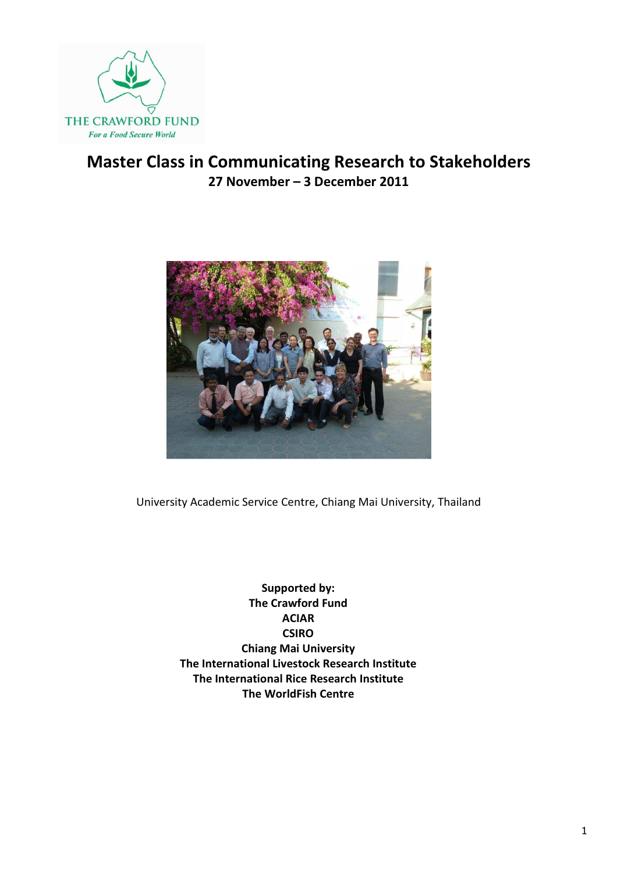

## Master Class in Communicating Research to Stakeholders 27 November – 3 December 2011



University Academic Service Centre, Chiang Mai University, Thailand

Supported by: The Crawford Fund ACIAR **CSIRO** Chiang Mai University The International Livestock Research Institute The International Rice Research Institute The WorldFish Centre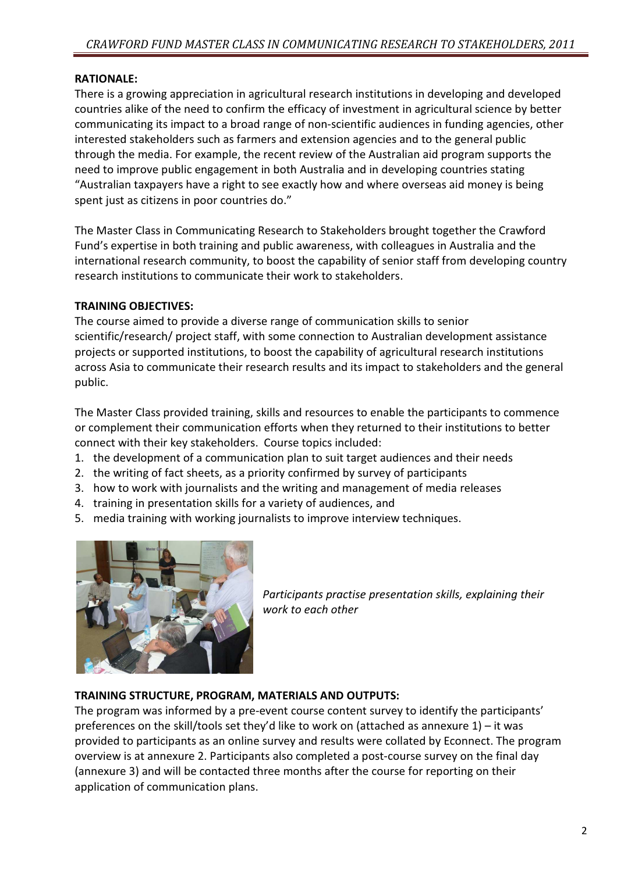### RATIONALE:

There is a growing appreciation in agricultural research institutions in developing and developed countries alike of the need to confirm the efficacy of investment in agricultural science by better communicating its impact to a broad range of non-scientific audiences in funding agencies, other interested stakeholders such as farmers and extension agencies and to the general public through the media. For example, the recent review of the Australian aid program supports the need to improve public engagement in both Australia and in developing countries stating "Australian taxpayers have a right to see exactly how and where overseas aid money is being spent just as citizens in poor countries do."

The Master Class in Communicating Research to Stakeholders brought together the Crawford Fund's expertise in both training and public awareness, with colleagues in Australia and the international research community, to boost the capability of senior staff from developing country research institutions to communicate their work to stakeholders.

#### TRAINING OBJECTIVES:

The course aimed to provide a diverse range of communication skills to senior scientific/research/ project staff, with some connection to Australian development assistance projects or supported institutions, to boost the capability of agricultural research institutions across Asia to communicate their research results and its impact to stakeholders and the general public.

The Master Class provided training, skills and resources to enable the participants to commence or complement their communication efforts when they returned to their institutions to better connect with their key stakeholders. Course topics included:

- 1. the development of a communication plan to suit target audiences and their needs
- 2. the writing of fact sheets, as a priority confirmed by survey of participants
- 3. how to work with journalists and the writing and management of media releases
- 4. training in presentation skills for a variety of audiences, and
- 5. media training with working journalists to improve interview techniques.



Participants practise presentation skills, explaining their work to each other

### TRAINING STRUCTURE, PROGRAM, MATERIALS AND OUTPUTS:

The program was informed by a pre-event course content survey to identify the participants' preferences on the skill/tools set they'd like to work on (attached as annexure  $1$ ) – it was provided to participants as an online survey and results were collated by Econnect. The program overview is at annexure 2. Participants also completed a post-course survey on the final day (annexure 3) and will be contacted three months after the course for reporting on their application of communication plans.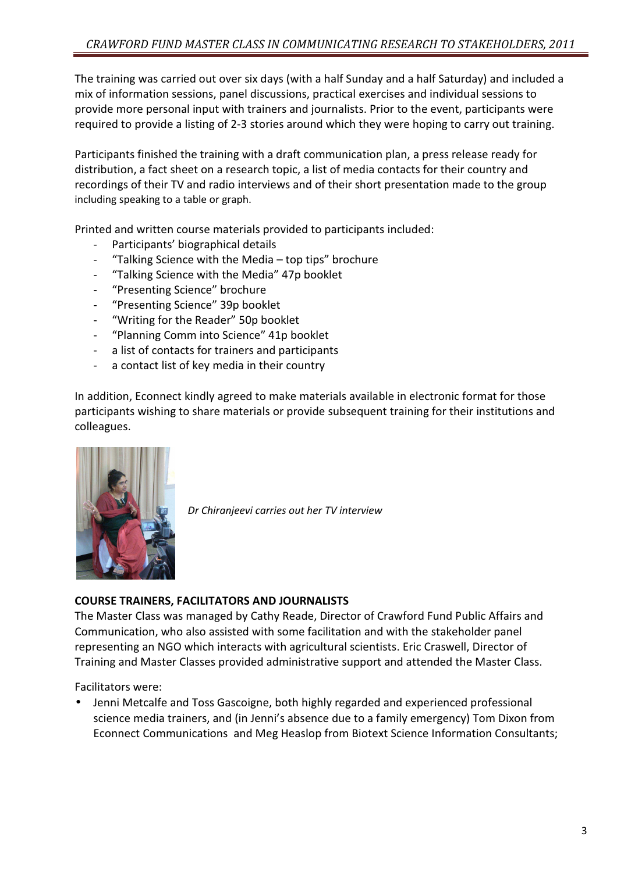The training was carried out over six days (with a half Sunday and a half Saturday) and included a mix of information sessions, panel discussions, practical exercises and individual sessions to provide more personal input with trainers and journalists. Prior to the event, participants were required to provide a listing of 2-3 stories around which they were hoping to carry out training.

Participants finished the training with a draft communication plan, a press release ready for distribution, a fact sheet on a research topic, a list of media contacts for their country and recordings of their TV and radio interviews and of their short presentation made to the group including speaking to a table or graph.

Printed and written course materials provided to participants included:

- Participants' biographical details
- "Talking Science with the Media top tips" brochure
- "Talking Science with the Media" 47p booklet
- "Presenting Science" brochure
- "Presenting Science" 39p booklet
- "Writing for the Reader" 50p booklet
- "Planning Comm into Science" 41p booklet
- a list of contacts for trainers and participants
- a contact list of key media in their country

In addition, Econnect kindly agreed to make materials available in electronic format for those participants wishing to share materials or provide subsequent training for their institutions and colleagues.



Dr Chiranjeevi carries out her TV interview

#### COURSE TRAINERS, FACILITATORS AND JOURNALISTS

The Master Class was managed by Cathy Reade, Director of Crawford Fund Public Affairs and Communication, who also assisted with some facilitation and with the stakeholder panel representing an NGO which interacts with agricultural scientists. Eric Craswell, Director of Training and Master Classes provided administrative support and attended the Master Class.

Facilitators were:

• Jenni Metcalfe and Toss Gascoigne, both highly regarded and experienced professional science media trainers, and (in Jenni's absence due to a family emergency) Tom Dixon from Econnect Communications and Meg Heaslop from Biotext Science Information Consultants;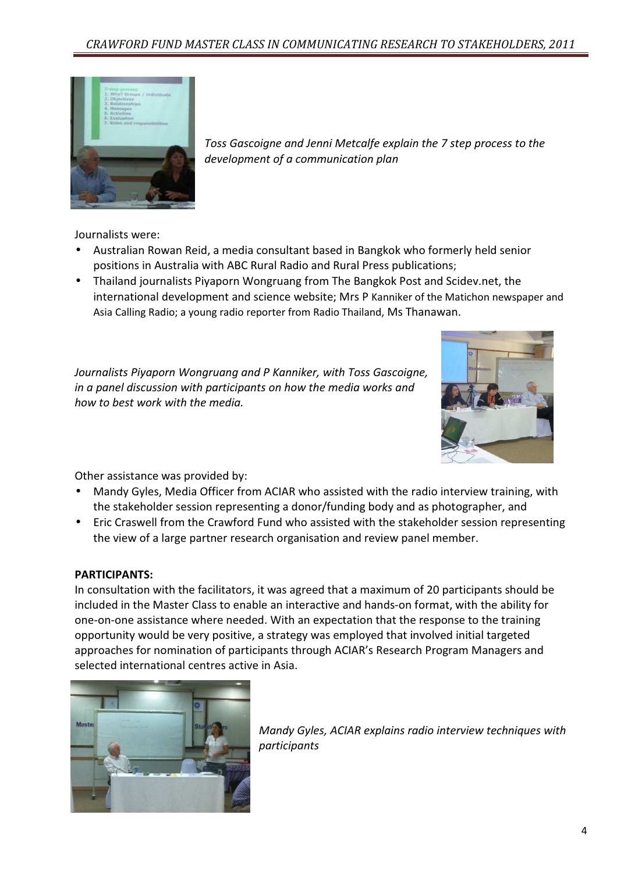

Toss Gascoigne and Jenni Metcalfe explain the 7 step process to the development of a communication plan

Journalists were:

- Australian Rowan Reid, a media consultant based in Bangkok who formerly held senior positions in Australia with ABC Rural Radio and Rural Press publications;
- Thailand journalists Piyaporn Wongruang from The Bangkok Post and Scidev.net, the international development and science website; Mrs P Kanniker of the Matichon newspaper and Asia Calling Radio; a young radio reporter from Radio Thailand, Ms Thanawan.

Journalists Piyaporn Wongruang and P Kanniker, with Toss Gascoigne, in a panel discussion with participants on how the media works and how to best work with the media.



Other assistance was provided by:

- Mandy Gyles, Media Officer from ACIAR who assisted with the radio interview training, with the stakeholder session representing a donor/funding body and as photographer, and
- Eric Craswell from the Crawford Fund who assisted with the stakeholder session representing the view of a large partner research organisation and review panel member.

#### PARTICIPANTS:

In consultation with the facilitators, it was agreed that a maximum of 20 participants should be included in the Master Class to enable an interactive and hands-on format, with the ability for one-on-one assistance where needed. With an expectation that the response to the training opportunity would be very positive, a strategy was employed that involved initial targeted approaches for nomination of participants through ACIAR's Research Program Managers and selected international centres active in Asia.



Mandy Gyles, ACIAR explains radio interview techniques with participants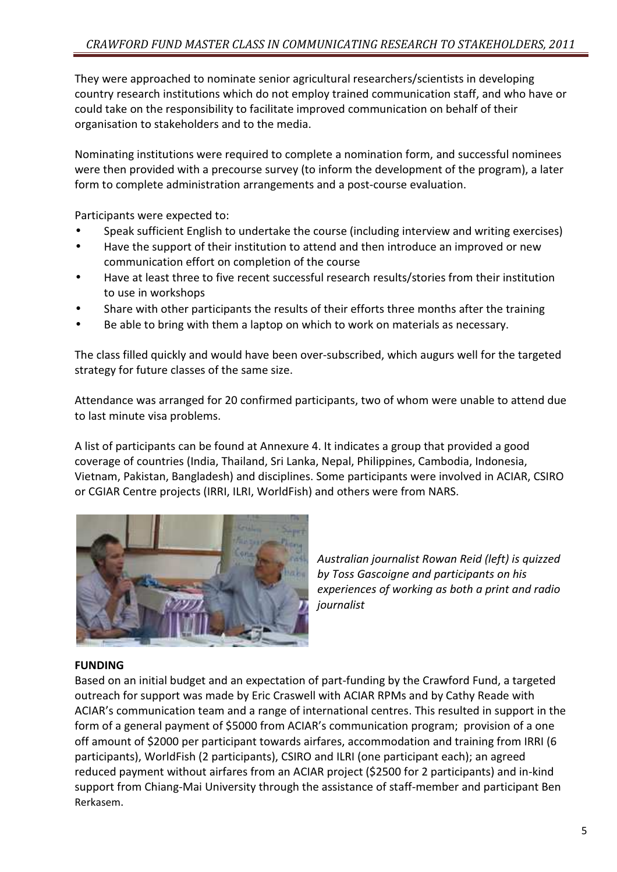They were approached to nominate senior agricultural researchers/scientists in developing country research institutions which do not employ trained communication staff, and who have or could take on the responsibility to facilitate improved communication on behalf of their organisation to stakeholders and to the media.

Nominating institutions were required to complete a nomination form, and successful nominees were then provided with a precourse survey (to inform the development of the program), a later form to complete administration arrangements and a post-course evaluation.

Participants were expected to:

- Speak sufficient English to undertake the course (including interview and writing exercises)
- Have the support of their institution to attend and then introduce an improved or new communication effort on completion of the course
- Have at least three to five recent successful research results/stories from their institution to use in workshops
- Share with other participants the results of their efforts three months after the training
- Be able to bring with them a laptop on which to work on materials as necessary.

The class filled quickly and would have been over-subscribed, which augurs well for the targeted strategy for future classes of the same size.

Attendance was arranged for 20 confirmed participants, two of whom were unable to attend due to last minute visa problems.

A list of participants can be found at Annexure 4. It indicates a group that provided a good coverage of countries (India, Thailand, Sri Lanka, Nepal, Philippines, Cambodia, Indonesia, Vietnam, Pakistan, Bangladesh) and disciplines. Some participants were involved in ACIAR, CSIRO or CGIAR Centre projects (IRRI, ILRI, WorldFish) and others were from NARS.



Australian journalist Rowan Reid (left) is quizzed by Toss Gascoigne and participants on his experiences of working as both a print and radio journalist

#### FUNDING

Based on an initial budget and an expectation of part-funding by the Crawford Fund, a targeted outreach for support was made by Eric Craswell with ACIAR RPMs and by Cathy Reade with ACIAR's communication team and a range of international centres. This resulted in support in the form of a general payment of \$5000 from ACIAR's communication program; provision of a one off amount of \$2000 per participant towards airfares, accommodation and training from IRRI (6 participants), WorldFish (2 participants), CSIRO and ILRI (one participant each); an agreed reduced payment without airfares from an ACIAR project (\$2500 for 2 participants) and in-kind support from Chiang-Mai University through the assistance of staff-member and participant Ben Rerkasem.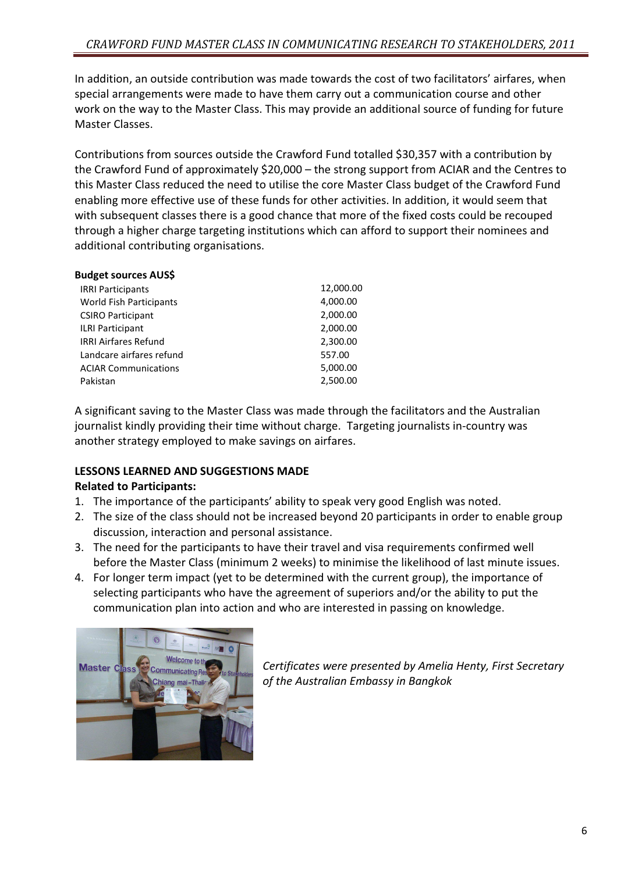In addition, an outside contribution was made towards the cost of two facilitators' airfares, when special arrangements were made to have them carry out a communication course and other work on the way to the Master Class. This may provide an additional source of funding for future Master Classes.

Contributions from sources outside the Crawford Fund totalled \$30,357 with a contribution by the Crawford Fund of approximately \$20,000 – the strong support from ACIAR and the Centres to this Master Class reduced the need to utilise the core Master Class budget of the Crawford Fund enabling more effective use of these funds for other activities. In addition, it would seem that with subsequent classes there is a good chance that more of the fixed costs could be recouped through a higher charge targeting institutions which can afford to support their nominees and additional contributing organisations.

| <b>Budget sources AUS\$</b>    |           |
|--------------------------------|-----------|
| <b>IRRI Participants</b>       | 12,000.00 |
| <b>World Fish Participants</b> | 4,000.00  |
| <b>CSIRO Participant</b>       | 2,000.00  |
| <b>ILRI Participant</b>        | 2,000.00  |
| <b>IRRI Airfares Refund</b>    | 2,300.00  |
| Landcare airfares refund       | 557.00    |
| <b>ACIAR Communications</b>    | 5,000.00  |
| Pakistan                       | 2,500.00  |
|                                |           |

A significant saving to the Master Class was made through the facilitators and the Australian journalist kindly providing their time without charge. Targeting journalists in-country was another strategy employed to make savings on airfares.

### LESSONS LEARNED AND SUGGESTIONS MADE

### Related to Participants:

- 1. The importance of the participants' ability to speak very good English was noted.
- 2. The size of the class should not be increased beyond 20 participants in order to enable group discussion, interaction and personal assistance.
- 3. The need for the participants to have their travel and visa requirements confirmed well before the Master Class (minimum 2 weeks) to minimise the likelihood of last minute issues.
- 4. For longer term impact (yet to be determined with the current group), the importance of selecting participants who have the agreement of superiors and/or the ability to put the communication plan into action and who are interested in passing on knowledge.



Certificates were presented by Amelia Henty, First Secretary of the Australian Embassy in Bangkok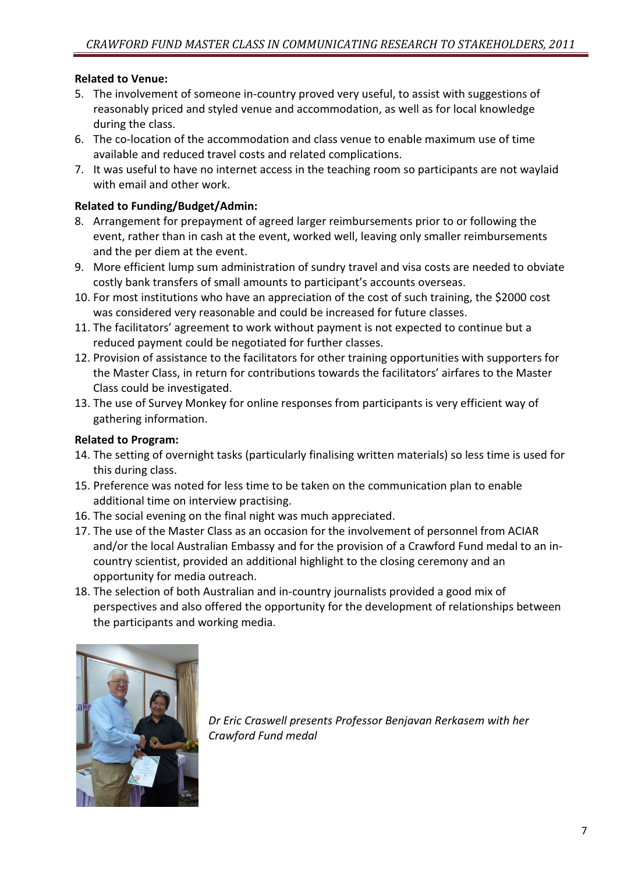#### Related to Venue:

- 5. The involvement of someone in-country proved very useful, to assist with suggestions of reasonably priced and styled venue and accommodation, as well as for local knowledge during the class.
- 6. The co-location of the accommodation and class venue to enable maximum use of time available and reduced travel costs and related complications.
- 7. It was useful to have no internet access in the teaching room so participants are not waylaid with email and other work.

#### Related to Funding/Budget/Admin:

- 8. Arrangement for prepayment of agreed larger reimbursements prior to or following the event, rather than in cash at the event, worked well, leaving only smaller reimbursements and the per diem at the event.
- 9. More efficient lump sum administration of sundry travel and visa costs are needed to obviate costly bank transfers of small amounts to participant's accounts overseas.
- 10. For most institutions who have an appreciation of the cost of such training, the \$2000 cost was considered very reasonable and could be increased for future classes.
- 11. The facilitators' agreement to work without payment is not expected to continue but a reduced payment could be negotiated for further classes.
- 12. Provision of assistance to the facilitators for other training opportunities with supporters for the Master Class, in return for contributions towards the facilitators' airfares to the Master Class could be investigated.
- 13. The use of Survey Monkey for online responses from participants is very efficient way of gathering information.

#### Related to Program:

- 14. The setting of overnight tasks (particularly finalising written materials) so less time is used for this during class.
- 15. Preference was noted for less time to be taken on the communication plan to enable additional time on interview practising.
- 16. The social evening on the final night was much appreciated.
- 17. The use of the Master Class as an occasion for the involvement of personnel from ACIAR and/or the local Australian Embassy and for the provision of a Crawford Fund medal to an incountry scientist, provided an additional highlight to the closing ceremony and an opportunity for media outreach.
- 18. The selection of both Australian and in-country journalists provided a good mix of perspectives and also offered the opportunity for the development of relationships between the participants and working media.



Dr Eric Craswell presents Professor Benjavan Rerkasem with her Crawford Fund medal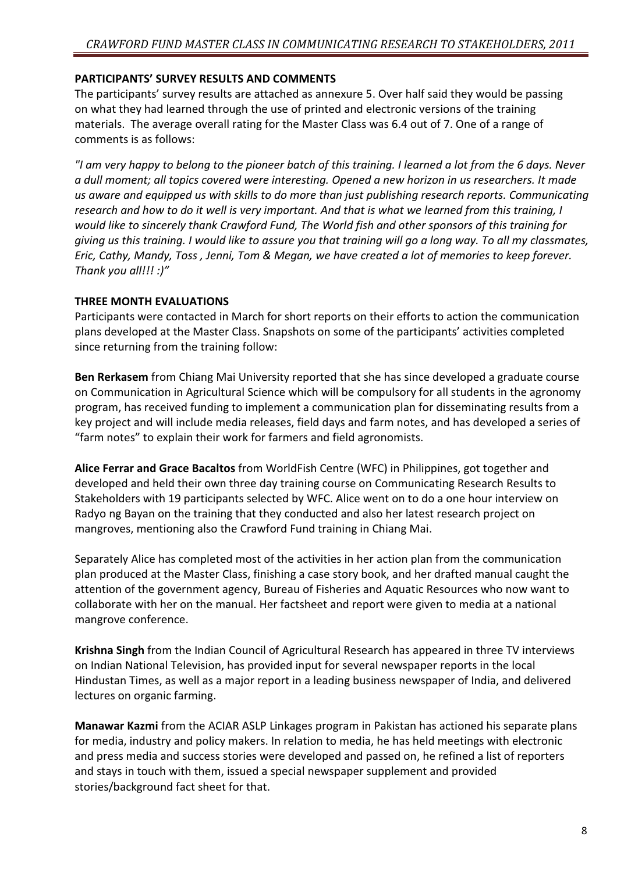#### PARTICIPANTS' SURVEY RESULTS AND COMMENTS

The participants' survey results are attached as annexure 5. Over half said they would be passing on what they had learned through the use of printed and electronic versions of the training materials. The average overall rating for the Master Class was 6.4 out of 7. One of a range of comments is as follows:

"I am very happy to belong to the pioneer batch of this training. I learned a lot from the 6 days. Never a dull moment; all topics covered were interesting. Opened a new horizon in us researchers. It made us aware and equipped us with skills to do more than just publishing research reports. Communicating research and how to do it well is very important. And that is what we learned from this training, I would like to sincerely thank Crawford Fund, The World fish and other sponsors of this training for giving us this training. I would like to assure you that training will go a long way. To all my classmates, Eric, Cathy, Mandy, Toss , Jenni, Tom & Megan, we have created a lot of memories to keep forever. Thank you all!!! :)"

#### THREE MONTH EVALUATIONS

Participants were contacted in March for short reports on their efforts to action the communication plans developed at the Master Class. Snapshots on some of the participants' activities completed since returning from the training follow:

Ben Rerkasem from Chiang Mai University reported that she has since developed a graduate course on Communication in Agricultural Science which will be compulsory for all students in the agronomy program, has received funding to implement a communication plan for disseminating results from a key project and will include media releases, field days and farm notes, and has developed a series of "farm notes" to explain their work for farmers and field agronomists.

Alice Ferrar and Grace Bacaltos from WorldFish Centre (WFC) in Philippines, got together and developed and held their own three day training course on Communicating Research Results to Stakeholders with 19 participants selected by WFC. Alice went on to do a one hour interview on Radyo ng Bayan on the training that they conducted and also her latest research project on mangroves, mentioning also the Crawford Fund training in Chiang Mai.

Separately Alice has completed most of the activities in her action plan from the communication plan produced at the Master Class, finishing a case story book, and her drafted manual caught the attention of the government agency, Bureau of Fisheries and Aquatic Resources who now want to collaborate with her on the manual. Her factsheet and report were given to media at a national mangrove conference.

Krishna Singh from the Indian Council of Agricultural Research has appeared in three TV interviews on Indian National Television, has provided input for several newspaper reports in the local Hindustan Times, as well as a major report in a leading business newspaper of India, and delivered lectures on organic farming.

Manawar Kazmi from the ACIAR ASLP Linkages program in Pakistan has actioned his separate plans for media, industry and policy makers. In relation to media, he has held meetings with electronic and press media and success stories were developed and passed on, he refined a list of reporters and stays in touch with them, issued a special newspaper supplement and provided stories/background fact sheet for that.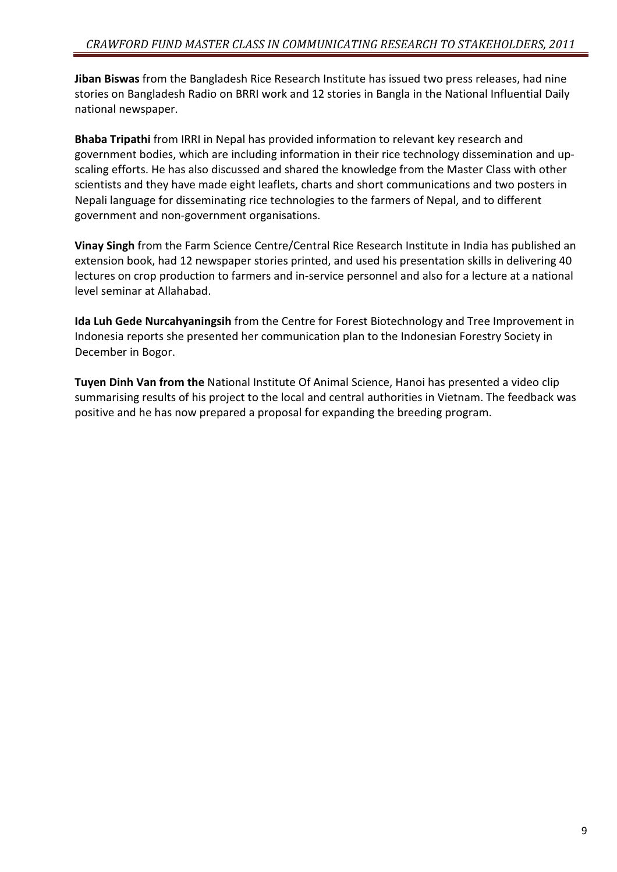Jiban Biswas from the Bangladesh Rice Research Institute has issued two press releases, had nine stories on Bangladesh Radio on BRRI work and 12 stories in Bangla in the National Influential Daily national newspaper.

Bhaba Tripathi from IRRI in Nepal has provided information to relevant key research and government bodies, which are including information in their rice technology dissemination and upscaling efforts. He has also discussed and shared the knowledge from the Master Class with other scientists and they have made eight leaflets, charts and short communications and two posters in Nepali language for disseminating rice technologies to the farmers of Nepal, and to different government and non-government organisations.

Vinay Singh from the Farm Science Centre/Central Rice Research Institute in India has published an extension book, had 12 newspaper stories printed, and used his presentation skills in delivering 40 lectures on crop production to farmers and in-service personnel and also for a lecture at a national level seminar at Allahabad.

Ida Luh Gede Nurcahyaningsih from the Centre for Forest Biotechnology and Tree Improvement in Indonesia reports she presented her communication plan to the Indonesian Forestry Society in December in Bogor.

Tuyen Dinh Van from the National Institute Of Animal Science, Hanoi has presented a video clip summarising results of his project to the local and central authorities in Vietnam. The feedback was positive and he has now prepared a proposal for expanding the breeding program.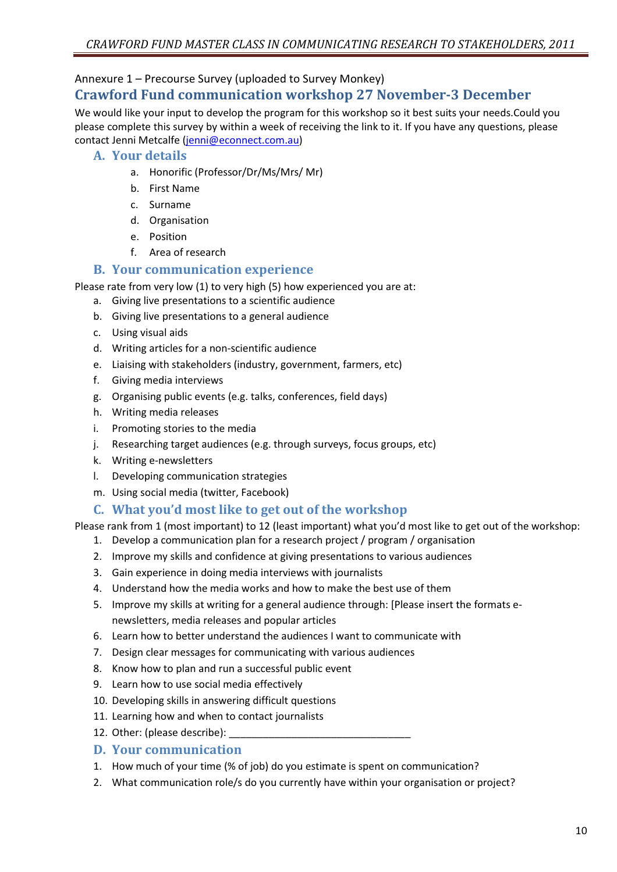#### Annexure 1 – Precourse Survey (uploaded to Survey Monkey)

## Crawford Fund communication workshop 27 November-3 December

We would like your input to develop the program for this workshop so it best suits your needs.Could you please complete this survey by within a week of receiving the link to it. If you have any questions, please contact Jenni Metcalfe (jenni@econnect.com.au)

#### A. Your details

- a. Honorific (Professor/Dr/Ms/Mrs/ Mr)
- b. First Name
- c. Surname
- d. Organisation
- e. Position
- f. Area of research

#### B. Your communication experience

Please rate from very low (1) to very high (5) how experienced you are at:

- a. Giving live presentations to a scientific audience
- b. Giving live presentations to a general audience
- c. Using visual aids
- d. Writing articles for a non-scientific audience
- e. Liaising with stakeholders (industry, government, farmers, etc)
- f. Giving media interviews
- g. Organising public events (e.g. talks, conferences, field days)
- h. Writing media releases
- i. Promoting stories to the media
- j. Researching target audiences (e.g. through surveys, focus groups, etc)
- k. Writing e-newsletters
- l. Developing communication strategies
- m. Using social media (twitter, Facebook)

#### C. What you'd most like to get out of the workshop

Please rank from 1 (most important) to 12 (least important) what you'd most like to get out of the workshop:

- 1. Develop a communication plan for a research project / program / organisation
- 2. Improve my skills and confidence at giving presentations to various audiences
- 3. Gain experience in doing media interviews with journalists
- 4. Understand how the media works and how to make the best use of them
- 5. Improve my skills at writing for a general audience through: [Please insert the formats enewsletters, media releases and popular articles
- 6. Learn how to better understand the audiences I want to communicate with
- 7. Design clear messages for communicating with various audiences
- 8. Know how to plan and run a successful public event
- 9. Learn how to use social media effectively
- 10. Developing skills in answering difficult questions
- 11. Learning how and when to contact journalists
- 12. Other: (please describe):

#### D. Your communication

- 1. How much of your time (% of job) do you estimate is spent on communication?
- 2. What communication role/s do you currently have within your organisation or project?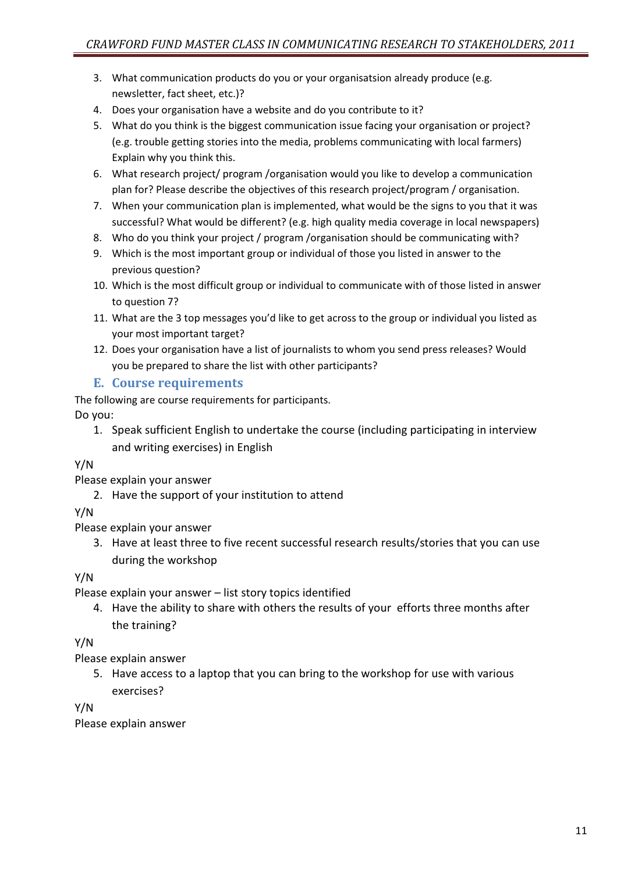- 3. What communication products do you or your organisatsion already produce (e.g. newsletter, fact sheet, etc.)?
- 4. Does your organisation have a website and do you contribute to it?
- 5. What do you think is the biggest communication issue facing your organisation or project? (e.g. trouble getting stories into the media, problems communicating with local farmers) Explain why you think this.
- 6. What research project/ program /organisation would you like to develop a communication plan for? Please describe the objectives of this research project/program / organisation.
- 7. When your communication plan is implemented, what would be the signs to you that it was successful? What would be different? (e.g. high quality media coverage in local newspapers)
- 8. Who do you think your project / program /organisation should be communicating with?
- 9. Which is the most important group or individual of those you listed in answer to the previous question?
- 10. Which is the most difficult group or individual to communicate with of those listed in answer to question 7?
- 11. What are the 3 top messages you'd like to get across to the group or individual you listed as your most important target?
- 12. Does your organisation have a list of journalists to whom you send press releases? Would you be prepared to share the list with other participants?

### E. Course requirements

The following are course requirements for participants.

Do you:

1. Speak sufficient English to undertake the course (including participating in interview and writing exercises) in English

#### Y/N

Please explain your answer

2. Have the support of your institution to attend

### Y/N

Please explain your answer

3. Have at least three to five recent successful research results/stories that you can use during the workshop

Y/N

Please explain your answer – list story topics identified

4. Have the ability to share with others the results of your efforts three months after the training?

### Y/N

Please explain answer

5. Have access to a laptop that you can bring to the workshop for use with various exercises?

#### Y/N

Please explain answer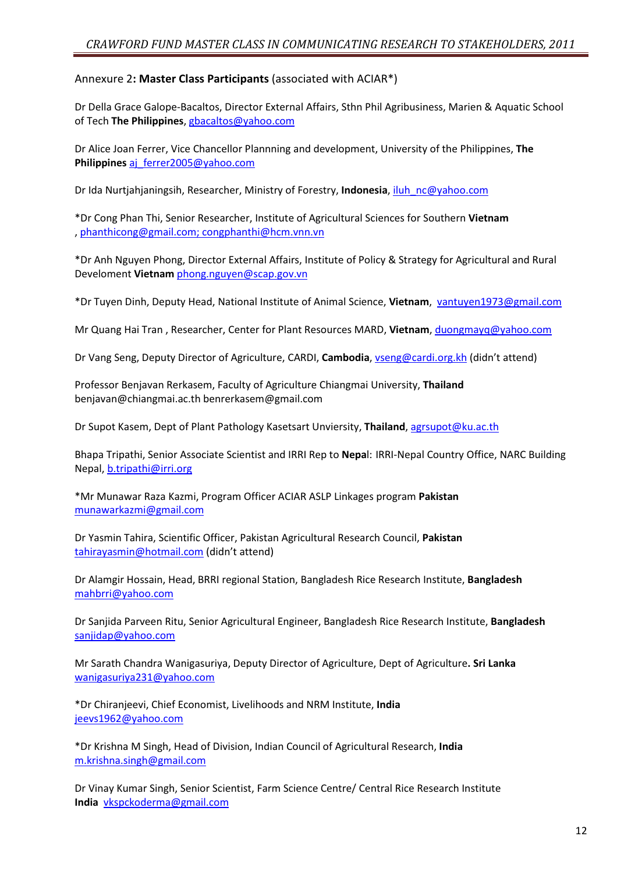#### Annexure 2: Master Class Participants (associated with ACIAR\*)

Dr Della Grace Galope-Bacaltos, Director External Affairs, Sthn Phil Agribusiness, Marien & Aquatic School of Tech The Philippines, gbacaltos@yahoo.com

Dr Alice Joan Ferrer, Vice Chancellor Plannning and development, University of the Philippines, The Philippines aj\_ferrer2005@yahoo.com

Dr Ida Nurtjahjaningsih, Researcher, Ministry of Forestry, Indonesia, iluh\_nc@yahoo.com

\*Dr Cong Phan Thi, Senior Researcher, Institute of Agricultural Sciences for Southern Vietnam , phanthicong@gmail.com; congphanthi@hcm.vnn.vn

\*Dr Anh Nguyen Phong, Director External Affairs, Institute of Policy & Strategy for Agricultural and Rural Develoment Vietnam phong.nguyen@scap.gov.vn

\*Dr Tuyen Dinh, Deputy Head, National Institute of Animal Science, Vietnam, vantuyen1973@gmail.com

Mr Quang Hai Tran, Researcher, Center for Plant Resources MARD, Vietnam, duongmayq@yahoo.com

Dr Vang Seng, Deputy Director of Agriculture, CARDI, Cambodia, vseng@cardi.org.kh (didn't attend)

Professor Benjavan Rerkasem, Faculty of Agriculture Chiangmai University, Thailand benjavan@chiangmai.ac.th benrerkasem@gmail.com

Dr Supot Kasem, Dept of Plant Pathology Kasetsart Unviersity, Thailand, agrsupot@ku.ac.th

Bhapa Tripathi, Senior Associate Scientist and IRRI Rep to Nepal: IRRI-Nepal Country Office, NARC Building Nepal, b.tripathi@irri.org

\*Mr Munawar Raza Kazmi, Program Officer ACIAR ASLP Linkages program Pakistan munawarkazmi@gmail.com

Dr Yasmin Tahira, Scientific Officer, Pakistan Agricultural Research Council, Pakistan tahirayasmin@hotmail.com (didn't attend)

Dr Alamgir Hossain, Head, BRRI regional Station, Bangladesh Rice Research Institute, Bangladesh mahbrri@yahoo.com

Dr Sanjida Parveen Ritu, Senior Agricultural Engineer, Bangladesh Rice Research Institute, Bangladesh sanjidap@yahoo.com

Mr Sarath Chandra Wanigasuriya, Deputy Director of Agriculture, Dept of Agriculture. Sri Lanka wanigasuriya231@yahoo.com

\*Dr Chiranjeevi, Chief Economist, Livelihoods and NRM Institute, India jeevs1962@yahoo.com

\*Dr Krishna M Singh, Head of Division, Indian Council of Agricultural Research, India m.krishna.singh@gmail.com

Dr Vinay Kumar Singh, Senior Scientist, Farm Science Centre/ Central Rice Research Institute India vkspckoderma@gmail.com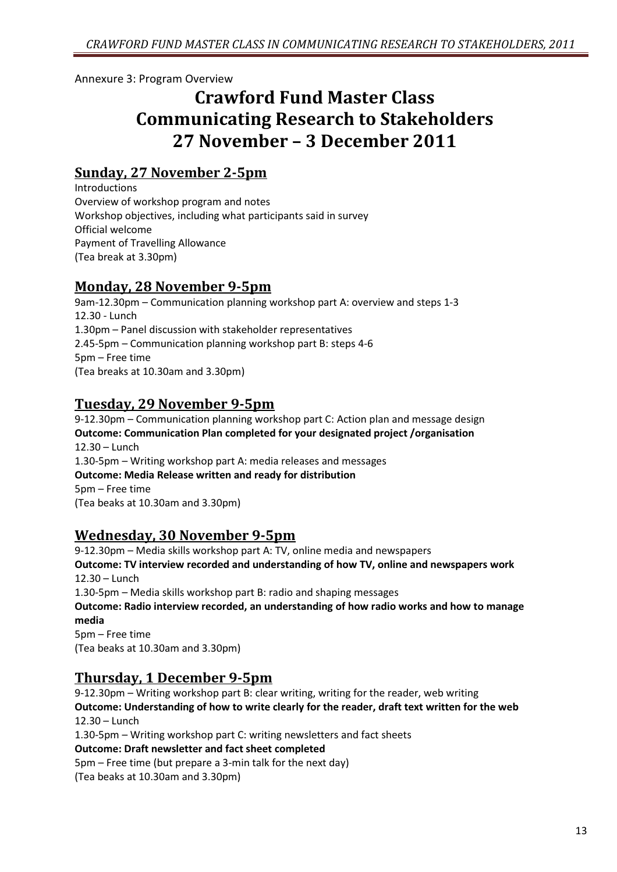Annexure 3: Program Overview

# Crawford Fund Master Class Communicating Research to Stakeholders 27 November – 3 December 2011

## Sunday, 27 November 2-5pm

Introductions Overview of workshop program and notes Workshop objectives, including what participants said in survey Official welcome Payment of Travelling Allowance (Tea break at 3.30pm)

## Monday, 28 November 9-5pm

9am-12.30pm – Communication planning workshop part A: overview and steps 1-3 12.30 - Lunch 1.30pm – Panel discussion with stakeholder representatives 2.45-5pm – Communication planning workshop part B: steps 4-6 5pm – Free time (Tea breaks at 10.30am and 3.30pm)

## Tuesday, 29 November 9-5pm

9-12.30pm – Communication planning workshop part C: Action plan and message design Outcome: Communication Plan completed for your designated project /organisation 12.30 – Lunch 1.30-5pm – Writing workshop part A: media releases and messages Outcome: Media Release written and ready for distribution 5pm – Free time (Tea beaks at 10.30am and 3.30pm)

## Wednesday, 30 November 9-5pm

9-12.30pm – Media skills workshop part A: TV, online media and newspapers Outcome: TV interview recorded and understanding of how TV, online and newspapers work 12.30 – Lunch 1.30-5pm – Media skills workshop part B: radio and shaping messages Outcome: Radio interview recorded, an understanding of how radio works and how to manage media 5pm – Free time (Tea beaks at 10.30am and 3.30pm)

## Thursday, 1 December 9-5pm

9-12.30pm – Writing workshop part B: clear writing, writing for the reader, web writing Outcome: Understanding of how to write clearly for the reader, draft text written for the web 12.30 – Lunch 1.30-5pm – Writing workshop part C: writing newsletters and fact sheets Outcome: Draft newsletter and fact sheet completed 5pm – Free time (but prepare a 3-min talk for the next day) (Tea beaks at 10.30am and 3.30pm)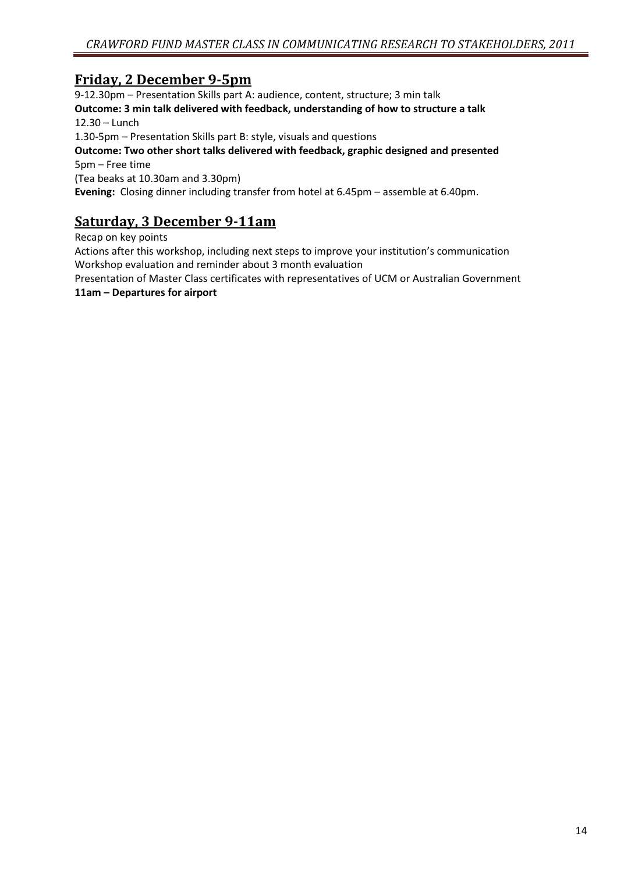## Friday, 2 December 9-5pm

9-12.30pm – Presentation Skills part A: audience, content, structure; 3 min talk Outcome: 3 min talk delivered with feedback, understanding of how to structure a talk 12.30 – Lunch 1.30-5pm – Presentation Skills part B: style, visuals and questions Outcome: Two other short talks delivered with feedback, graphic designed and presented 5pm – Free time (Tea beaks at 10.30am and 3.30pm) Evening: Closing dinner including transfer from hotel at 6.45pm – assemble at 6.40pm.

## Saturday, 3 December 9-11am

Recap on key points

Actions after this workshop, including next steps to improve your institution's communication Workshop evaluation and reminder about 3 month evaluation

Presentation of Master Class certificates with representatives of UCM or Australian Government 11am – Departures for airport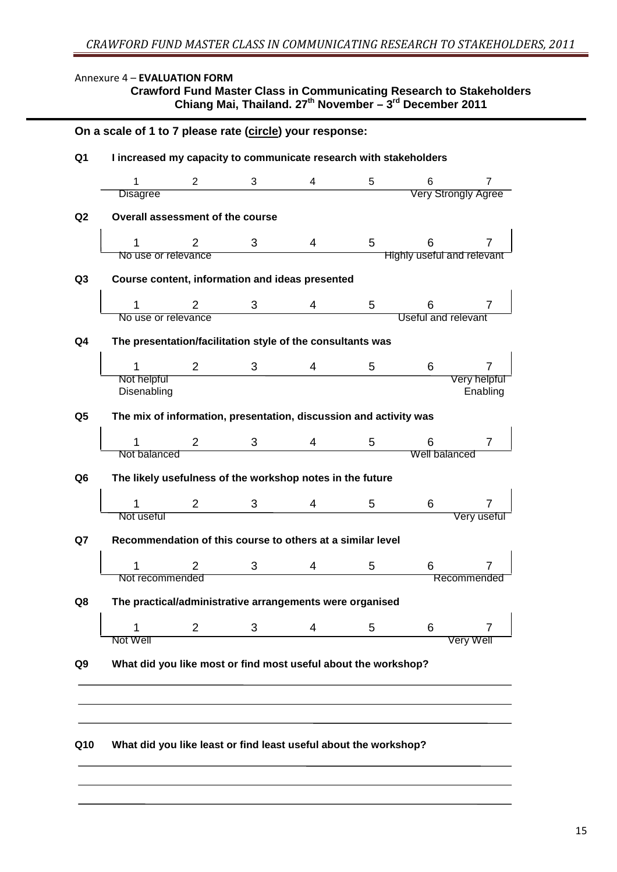#### Annexure 4 – EVALUATION FORM

#### **Crawford Fund Master Class in Communicating Research to Stakeholders Chiang Mai, Thailand. 27th November – 3rd December 2011**

| 1                                                                 | $\overline{2}$ | 3 | 4 | 5 | 6                                 | $\overline{7}$           |
|-------------------------------------------------------------------|----------------|---|---|---|-----------------------------------|--------------------------|
| <b>Disagree</b>                                                   |                |   |   |   | <b>Very Strongly Agree</b>        |                          |
| Overall assessment of the course                                  |                |   |   |   |                                   |                          |
|                                                                   | 2              | 3 | 4 | 5 | 6                                 |                          |
| No use or relevance                                               |                |   |   |   | <b>Highly useful and relevant</b> |                          |
| Course content, information and ideas presented                   |                |   |   |   |                                   |                          |
|                                                                   | 2              | 3 | 4 | 5 | 6                                 | 7                        |
| No use or relevance                                               |                |   |   |   | Useful and relevant               |                          |
| The presentation/facilitation style of the consultants was        |                |   |   |   |                                   |                          |
|                                                                   | $\overline{2}$ | 3 | 4 | 5 | 6                                 |                          |
| Not helpful<br>Disenabling                                        |                |   |   |   |                                   | Very helpful<br>Enabling |
|                                                                   |                |   |   |   |                                   |                          |
| The mix of information, presentation, discussion and activity was |                |   |   |   |                                   |                          |
|                                                                   | $\overline{2}$ | 3 | 4 | 5 | 6                                 | 7                        |
| Not balanced                                                      |                |   |   |   | Well balanced                     |                          |
| The likely usefulness of the workshop notes in the future         |                |   |   |   |                                   |                          |
|                                                                   | $\overline{2}$ |   |   |   | 6                                 |                          |
| 1<br>Not useful                                                   |                | 3 | 4 | 5 |                                   | Very useful              |
|                                                                   |                |   |   |   |                                   |                          |
| Recommendation of this course to others at a similar level        |                |   |   |   |                                   |                          |
|                                                                   | 2              | 3 | 4 | 5 | 6                                 |                          |
| Not recommended                                                   |                |   |   |   |                                   | Recommended              |
| The practical/administrative arrangements were organised          |                |   |   |   |                                   |                          |
| 1                                                                 | $\overline{2}$ | 3 | 4 | 5 | 6                                 |                          |
| Not Well                                                          |                |   |   |   |                                   | Very Well                |
| What did you like most or find most useful about the workshop?    |                |   |   |   |                                   |                          |
|                                                                   |                |   |   |   |                                   |                          |
|                                                                   |                |   |   |   |                                   |                          |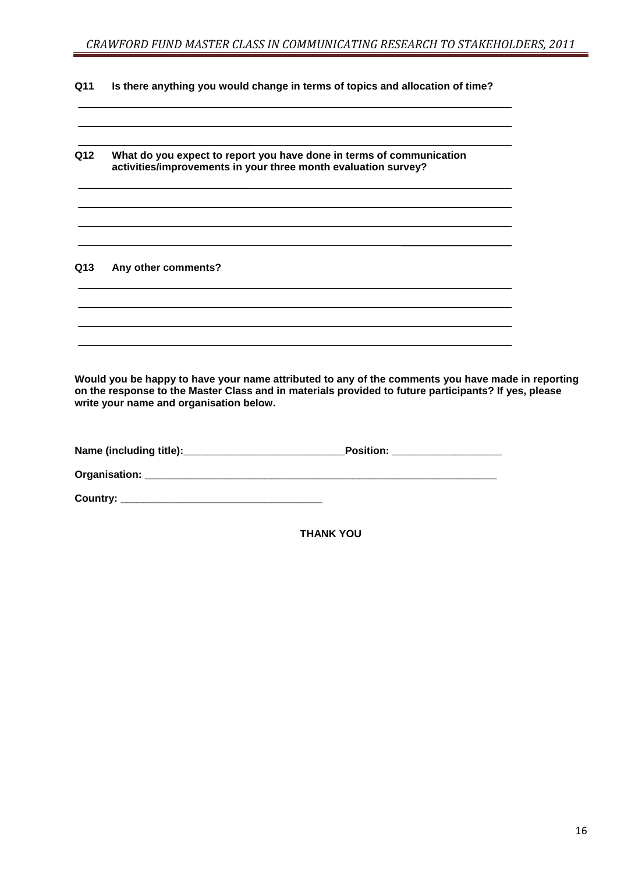**Q11 Is there anything you would change in terms of topics and allocation of time?** 

| Q12 | What do you expect to report you have done in terms of communication<br>activities/improvements in your three month evaluation survey? |
|-----|----------------------------------------------------------------------------------------------------------------------------------------|
|     |                                                                                                                                        |
| Q13 | Any other comments?                                                                                                                    |
|     |                                                                                                                                        |
|     |                                                                                                                                        |

**Would you be happy to have your name attributed to any of the comments you have made in reporting on the response to the Master Class and in materials provided to future participants? If yes, please write your name and organisation below.** 

| Name (including title):         | <b>Position:</b> |
|---------------------------------|------------------|
| Organisation: _________________ |                  |
| Country: $\_\_$                 |                  |

**THANK YOU**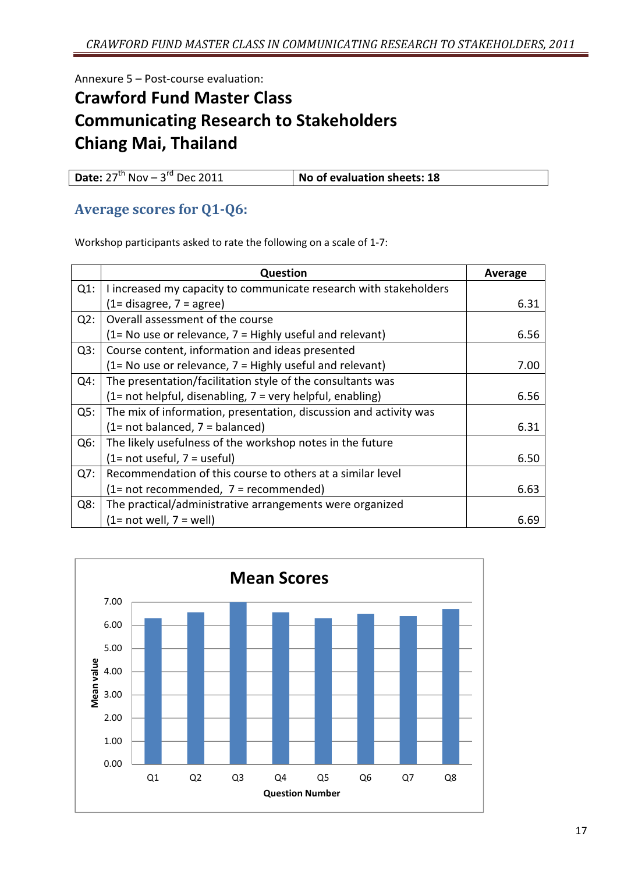Annexure 5 – Post-course evaluation:

# Crawford Fund Master Class Communicating Research to Stakeholders Chiang Mai, Thailand

| <b>Date:</b> $27^{th}$ Nov – $3^{rd}$ Dec 2011 | No of evaluation sheets: 18 |
|------------------------------------------------|-----------------------------|

## Average scores for Q1-Q6:

Workshop participants asked to rate the following on a scale of 1-7:

|        | Question                                                          | Average |
|--------|-------------------------------------------------------------------|---------|
| $Q1$ : | I increased my capacity to communicate research with stakeholders |         |
|        | $(1=$ disagree, $7=$ agree)                                       | 6.31    |
| Q2:    | Overall assessment of the course                                  |         |
|        | (1= No use or relevance, 7 = Highly useful and relevant)          | 6.56    |
| Q3:    | Course content, information and ideas presented                   |         |
|        | $(1 = No$ use or relevance, $7 = Highly$ useful and relevant)     | 7.00    |
| $Q4$ : | The presentation/facilitation style of the consultants was        |         |
|        | $(1 = not helpful, disenabling, 7 = very helpful, enabling)$      | 6.56    |
| Q5:    | The mix of information, presentation, discussion and activity was |         |
|        | $(1= not balanced, 7 = balanced)$                                 | 6.31    |
| $Q6$ : | The likely usefulness of the workshop notes in the future         |         |
|        | $(1= not useful, 7 = useful)$                                     | 6.50    |
| Q7:    | Recommendation of this course to others at a similar level        |         |
|        | $(1= not recommended, 7= recommended)$                            | 6.63    |
| Q8:    | The practical/administrative arrangements were organized          |         |
|        | $(1=$ not well, $7=$ well)                                        | 6.69    |

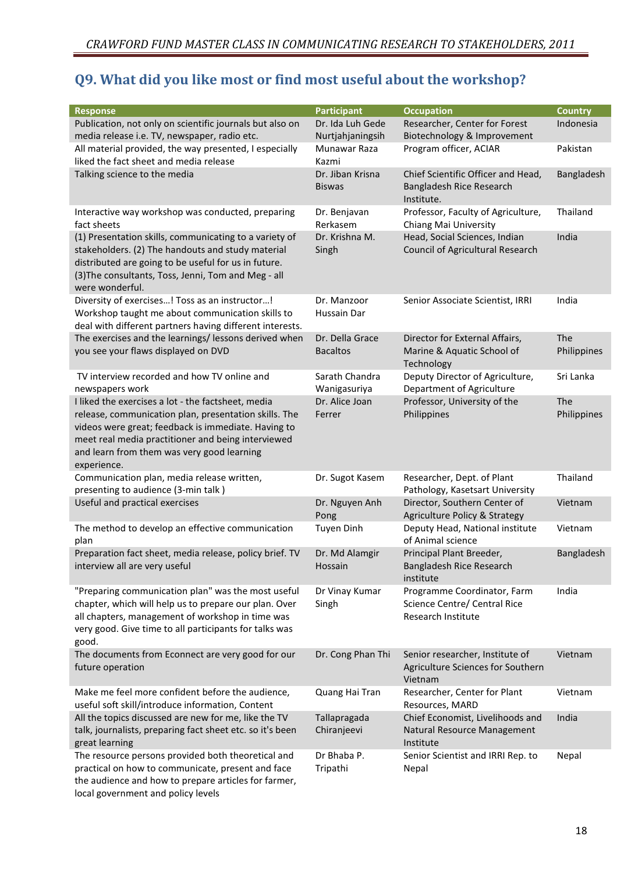## Q9. What did you like most or find most useful about the workshop?

| <b>Response</b>                                           | <b>Participant</b> | <b>Occupation</b>                        | <b>Country</b> |
|-----------------------------------------------------------|--------------------|------------------------------------------|----------------|
| Publication, not only on scientific journals but also on  | Dr. Ida Luh Gede   | Researcher, Center for Forest            | Indonesia      |
| media release i.e. TV, newspaper, radio etc.              | Nurtjahjaningsih   | Biotechnology & Improvement              |                |
| All material provided, the way presented, I especially    | Munawar Raza       | Program officer, ACIAR                   | Pakistan       |
| liked the fact sheet and media release                    | Kazmi              |                                          |                |
| Talking science to the media                              | Dr. Jiban Krisna   | Chief Scientific Officer and Head,       | Bangladesh     |
|                                                           | <b>Biswas</b>      | Bangladesh Rice Research                 |                |
|                                                           |                    | Institute.                               |                |
| Interactive way workshop was conducted, preparing         | Dr. Benjavan       | Professor, Faculty of Agriculture,       | Thailand       |
| fact sheets                                               | Rerkasem           | Chiang Mai University                    |                |
| (1) Presentation skills, communicating to a variety of    | Dr. Krishna M.     | Head, Social Sciences, Indian            | India          |
|                                                           |                    |                                          |                |
| stakeholders. (2) The handouts and study material         | Singh              | <b>Council of Agricultural Research</b>  |                |
| distributed are going to be useful for us in future.      |                    |                                          |                |
| (3) The consultants, Toss, Jenni, Tom and Meg - all       |                    |                                          |                |
| were wonderful.                                           |                    |                                          |                |
| Diversity of exercises! Toss as an instructor!            | Dr. Manzoor        | Senior Associate Scientist, IRRI         | India          |
| Workshop taught me about communication skills to          | <b>Hussain Dar</b> |                                          |                |
| deal with different partners having different interests.  |                    |                                          |                |
| The exercises and the learnings/ lessons derived when     | Dr. Della Grace    | Director for External Affairs,           | The            |
| you see your flaws displayed on DVD                       | <b>Bacaltos</b>    | Marine & Aquatic School of               | Philippines    |
|                                                           |                    | Technology                               |                |
| TV interview recorded and how TV online and               | Sarath Chandra     | Deputy Director of Agriculture,          | Sri Lanka      |
| newspapers work                                           | Wanigasuriya       | Department of Agriculture                |                |
| I liked the exercises a lot - the factsheet, media        | Dr. Alice Joan     | Professor, University of the             | The            |
|                                                           |                    |                                          |                |
| release, communication plan, presentation skills. The     | Ferrer             | Philippines                              | Philippines    |
| videos were great; feedback is immediate. Having to       |                    |                                          |                |
| meet real media practitioner and being interviewed        |                    |                                          |                |
| and learn from them was very good learning                |                    |                                          |                |
| experience.                                               |                    |                                          |                |
| Communication plan, media release written,                | Dr. Sugot Kasem    | Researcher, Dept. of Plant               | Thailand       |
| presenting to audience (3-min talk)                       |                    | Pathology, Kasetsart University          |                |
| Useful and practical exercises                            | Dr. Nguyen Anh     | Director, Southern Center of             | Vietnam        |
|                                                           | Pong               | <b>Agriculture Policy &amp; Strategy</b> |                |
| The method to develop an effective communication          | <b>Tuyen Dinh</b>  | Deputy Head, National institute          | Vietnam        |
| plan                                                      |                    | of Animal science                        |                |
| Preparation fact sheet, media release, policy brief. TV   | Dr. Md Alamgir     | Principal Plant Breeder,                 | Bangladesh     |
|                                                           | Hossain            | Bangladesh Rice Research                 |                |
| interview all are very useful                             |                    |                                          |                |
|                                                           |                    | institute                                |                |
| "Preparing communication plan" was the most useful        | Dr Vinay Kumar     | Programme Coordinator, Farm              | India          |
| chapter, which will help us to prepare our plan. Over     | Singh              | Science Centre/ Central Rice             |                |
| all chapters, management of workshop in time was          |                    | <b>Research Institute</b>                |                |
| very good. Give time to all participants for talks was    |                    |                                          |                |
| good.                                                     |                    |                                          |                |
| The documents from Econnect are very good for our         | Dr. Cong Phan Thi  | Senior researcher, Institute of          | Vietnam        |
| future operation                                          |                    | Agriculture Sciences for Southern        |                |
|                                                           |                    | Vietnam                                  |                |
| Make me feel more confident before the audience,          | Quang Hai Tran     | Researcher, Center for Plant             | Vietnam        |
| useful soft skill/introduce information, Content          |                    | Resources, MARD                          |                |
| All the topics discussed are new for me, like the TV      | Tallapragada       | Chief Economist, Livelihoods and         | India          |
|                                                           |                    |                                          |                |
| talk, journalists, preparing fact sheet etc. so it's been | Chiranjeevi        | Natural Resource Management              |                |
| great learning                                            |                    | Institute                                |                |
| The resource persons provided both theoretical and        | Dr Bhaba P.        | Senior Scientist and IRRI Rep. to        | Nepal          |
| practical on how to communicate, present and face         | Tripathi           | Nepal                                    |                |
| the audience and how to prepare articles for farmer,      |                    |                                          |                |
| local government and policy levels                        |                    |                                          |                |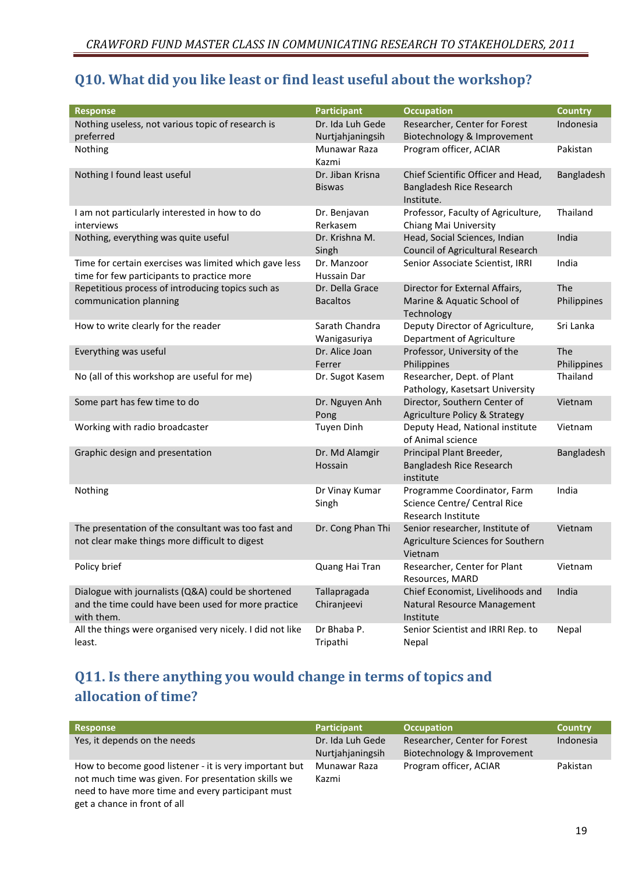## Q10. What did you like least or find least useful about the workshop?

| <b>Response</b>                                                                                      | <b>Participant</b>                | <b>Occupation</b>                               | <b>Country</b> |
|------------------------------------------------------------------------------------------------------|-----------------------------------|-------------------------------------------------|----------------|
| Nothing useless, not various topic of research is                                                    | Dr. Ida Luh Gede                  | Researcher, Center for Forest                   | Indonesia      |
| preferred                                                                                            | Nurtjahjaningsih                  | Biotechnology & Improvement                     |                |
| Nothing                                                                                              | Munawar Raza                      | Program officer, ACIAR                          | Pakistan       |
|                                                                                                      | Kazmi                             |                                                 |                |
| Nothing I found least useful                                                                         | Dr. Jiban Krisna                  | Chief Scientific Officer and Head,              | Bangladesh     |
|                                                                                                      | <b>Biswas</b>                     | Bangladesh Rice Research<br>Institute.          |                |
| I am not particularly interested in how to do                                                        | Dr. Benjavan                      | Professor, Faculty of Agriculture,              | Thailand       |
| interviews                                                                                           | Rerkasem                          | Chiang Mai University                           |                |
| Nothing, everything was quite useful                                                                 | Dr. Krishna M.                    | Head, Social Sciences, Indian                   | India          |
|                                                                                                      | Singh                             | <b>Council of Agricultural Research</b>         |                |
| Time for certain exercises was limited which gave less<br>time for few participants to practice more | Dr. Manzoor<br><b>Hussain Dar</b> | Senior Associate Scientist, IRRI                | India          |
| Repetitious process of introducing topics such as                                                    | Dr. Della Grace                   | Director for External Affairs,                  | The            |
| communication planning                                                                               | <b>Bacaltos</b>                   | Marine & Aquatic School of                      | Philippines    |
|                                                                                                      |                                   | Technology                                      |                |
| How to write clearly for the reader                                                                  | Sarath Chandra                    | Deputy Director of Agriculture,                 | Sri Lanka      |
|                                                                                                      | Wanigasuriya                      | Department of Agriculture                       |                |
| Everything was useful                                                                                | Dr. Alice Joan                    | Professor, University of the                    | The            |
|                                                                                                      | Ferrer                            | Philippines                                     | Philippines    |
| No (all of this workshop are useful for me)                                                          | Dr. Sugot Kasem                   | Researcher, Dept. of Plant                      | Thailand       |
|                                                                                                      |                                   | Pathology, Kasetsart University                 |                |
| Some part has few time to do                                                                         | Dr. Nguyen Anh                    | Director, Southern Center of                    | Vietnam        |
|                                                                                                      | Pong                              | <b>Agriculture Policy &amp; Strategy</b>        |                |
| Working with radio broadcaster                                                                       | <b>Tuyen Dinh</b>                 | Deputy Head, National institute                 | Vietnam        |
|                                                                                                      |                                   | of Animal science                               |                |
| Graphic design and presentation                                                                      | Dr. Md Alamgir                    | Principal Plant Breeder,                        | Bangladesh     |
|                                                                                                      | Hossain                           | Bangladesh Rice Research                        |                |
|                                                                                                      |                                   | institute                                       |                |
| Nothing                                                                                              | Dr Vinay Kumar                    | Programme Coordinator, Farm                     | India          |
|                                                                                                      | Singh                             | Science Centre/ Central Rice                    |                |
|                                                                                                      |                                   | <b>Research Institute</b>                       |                |
| The presentation of the consultant was too fast and                                                  | Dr. Cong Phan Thi                 | Senior researcher, Institute of                 | Vietnam        |
| not clear make things more difficult to digest                                                       |                                   | Agriculture Sciences for Southern               |                |
|                                                                                                      |                                   | Vietnam                                         |                |
| Policy brief                                                                                         | Quang Hai Tran                    | Researcher, Center for Plant<br>Resources, MARD | Vietnam        |
| Dialogue with journalists (Q&A) could be shortened                                                   | Tallapragada                      | Chief Economist, Livelihoods and                | India          |
| and the time could have been used for more practice                                                  | Chiranjeevi                       | Natural Resource Management                     |                |
| with them.                                                                                           |                                   | Institute                                       |                |
| All the things were organised very nicely. I did not like                                            | Dr Bhaba P.                       | Senior Scientist and IRRI Rep. to               | Nepal          |
| least.                                                                                               | Tripathi                          | Nepal                                           |                |

## Q11. Is there anything you would change in terms of topics and allocation of time?

| <b>Response</b>                                                                                                                                                                                    | Participant                          | <b>Occupation</b>                                            | <b>Country</b> |
|----------------------------------------------------------------------------------------------------------------------------------------------------------------------------------------------------|--------------------------------------|--------------------------------------------------------------|----------------|
| Yes, it depends on the needs                                                                                                                                                                       | Dr. Ida Luh Gede<br>Nurtiahjaningsih | Researcher, Center for Forest<br>Biotechnology & Improvement | Indonesia      |
|                                                                                                                                                                                                    |                                      |                                                              |                |
| How to become good listener - it is very important but<br>not much time was given. For presentation skills we<br>need to have more time and every participant must<br>get a chance in front of all | Munawar Raza<br>Kazmi                | Program officer, ACIAR                                       | Pakistan       |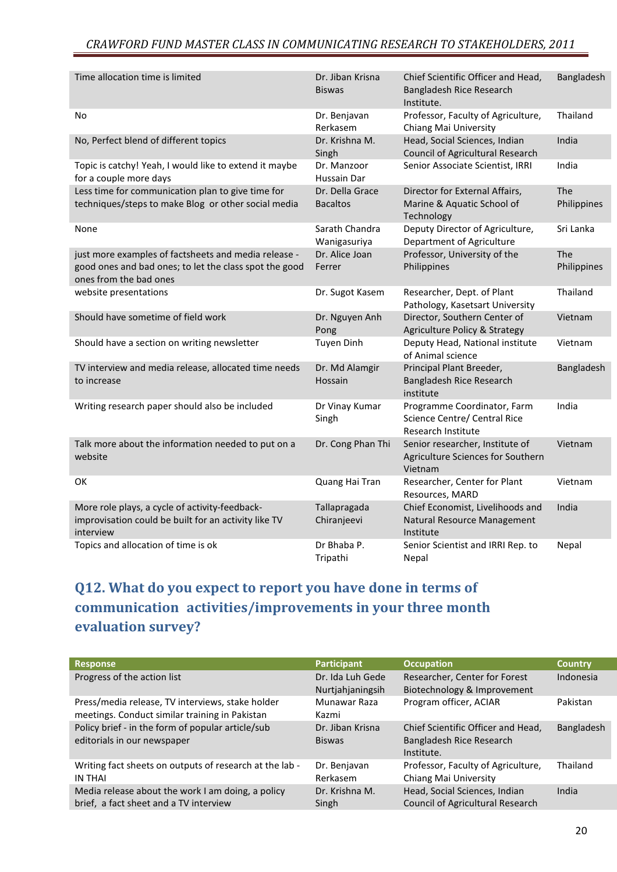#### CRAWFORD FUND MASTER CLASS IN COMMUNICATING RESEARCH TO STAKEHOLDERS, 2011

| Time allocation time is limited                                                                                                          | Dr. Jiban Krisna<br><b>Biswas</b>  | Chief Scientific Officer and Head,<br>Bangladesh Rice Research<br>Institute.      | Bangladesh         |
|------------------------------------------------------------------------------------------------------------------------------------------|------------------------------------|-----------------------------------------------------------------------------------|--------------------|
| No                                                                                                                                       | Dr. Benjavan<br>Rerkasem           | Professor, Faculty of Agriculture,<br>Chiang Mai University                       | Thailand           |
| No, Perfect blend of different topics                                                                                                    | Dr. Krishna M.<br>Singh            | Head, Social Sciences, Indian<br><b>Council of Agricultural Research</b>          | India              |
| Topic is catchy! Yeah, I would like to extend it maybe<br>for a couple more days                                                         | Dr. Manzoor<br>Hussain Dar         | Senior Associate Scientist, IRRI                                                  | India              |
| Less time for communication plan to give time for<br>techniques/steps to make Blog or other social media                                 | Dr. Della Grace<br><b>Bacaltos</b> | Director for External Affairs,<br>Marine & Aquatic School of<br>Technology        | The<br>Philippines |
| None                                                                                                                                     | Sarath Chandra<br>Wanigasuriya     | Deputy Director of Agriculture,<br>Department of Agriculture                      | Sri Lanka          |
| just more examples of factsheets and media release -<br>good ones and bad ones; to let the class spot the good<br>ones from the bad ones | Dr. Alice Joan<br>Ferrer           | Professor, University of the<br>Philippines                                       | The<br>Philippines |
| website presentations                                                                                                                    | Dr. Sugot Kasem                    | Researcher, Dept. of Plant<br>Pathology, Kasetsart University                     | Thailand           |
| Should have sometime of field work                                                                                                       | Dr. Nguyen Anh<br>Pong             | Director, Southern Center of<br><b>Agriculture Policy &amp; Strategy</b>          | Vietnam            |
| Should have a section on writing newsletter                                                                                              | <b>Tuyen Dinh</b>                  | Deputy Head, National institute<br>of Animal science                              | Vietnam            |
| TV interview and media release, allocated time needs<br>to increase                                                                      | Dr. Md Alamgir<br>Hossain          | Principal Plant Breeder,<br>Bangladesh Rice Research<br>institute                 | Bangladesh         |
| Writing research paper should also be included                                                                                           | Dr Vinay Kumar<br>Singh            | Programme Coordinator, Farm<br>Science Centre/ Central Rice<br>Research Institute | India              |
| Talk more about the information needed to put on a<br>website                                                                            | Dr. Cong Phan Thi                  | Senior researcher, Institute of<br>Agriculture Sciences for Southern<br>Vietnam   | Vietnam            |
| OK                                                                                                                                       | Quang Hai Tran                     | Researcher, Center for Plant<br>Resources, MARD                                   | Vietnam            |
| More role plays, a cycle of activity-feedback-<br>improvisation could be built for an activity like TV<br>interview                      | Tallapragada<br>Chiranjeevi        | Chief Economist, Livelihoods and<br>Natural Resource Management<br>Institute      | India              |
| Topics and allocation of time is ok                                                                                                      | Dr Bhaba P.<br>Tripathi            | Senior Scientist and IRRI Rep. to<br>Nepal                                        | Nepal              |

## Q12. What do you expect to report you have done in terms of communication activities/improvements in your three month evaluation survey?

| <b>Response</b>                                                                                    | <b>Participant</b>                   | <b>Occupation</b>                                                            | <b>Country</b> |
|----------------------------------------------------------------------------------------------------|--------------------------------------|------------------------------------------------------------------------------|----------------|
| Progress of the action list                                                                        | Dr. Ida Luh Gede<br>Nurtjahjaningsih | Researcher, Center for Forest<br>Biotechnology & Improvement                 | Indonesia      |
| Press/media release, TV interviews, stake holder<br>meetings. Conduct similar training in Pakistan | Munawar Raza<br>Kazmi                | Program officer, ACIAR                                                       | Pakistan       |
| Policy brief - in the form of popular article/sub<br>editorials in our newspaper                   | Dr. Jiban Krisna<br><b>Biswas</b>    | Chief Scientific Officer and Head,<br>Bangladesh Rice Research<br>Institute. | Bangladesh     |
| Writing fact sheets on outputs of research at the lab -<br><b>IN THAI</b>                          | Dr. Benjavan<br>Rerkasem             | Professor, Faculty of Agriculture,<br>Chiang Mai University                  | Thailand       |
| Media release about the work I am doing, a policy<br>brief, a fact sheet and a TV interview        | Dr. Krishna M.<br>Singh              | Head, Social Sciences, Indian<br><b>Council of Agricultural Research</b>     | India          |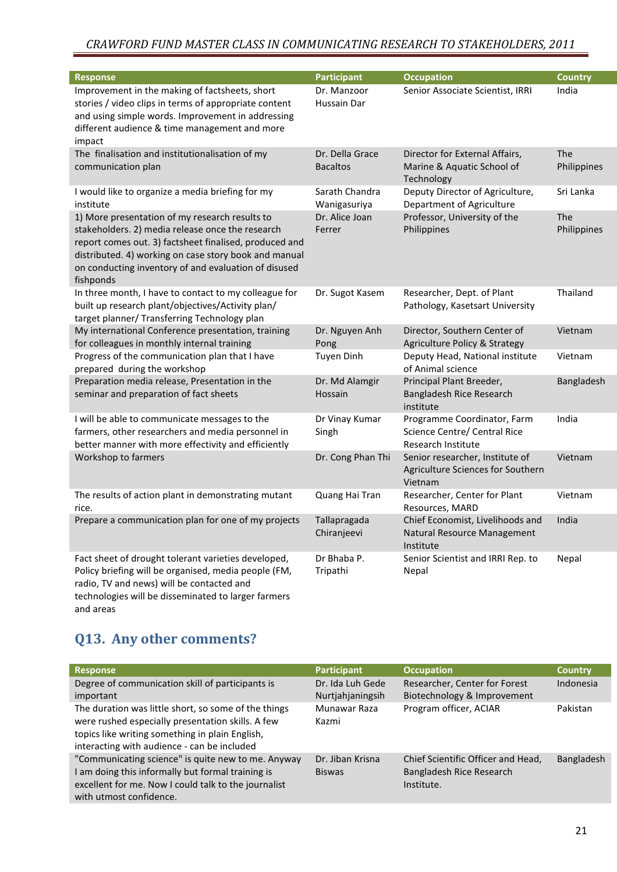#### CRAWFORD FUND MASTER CLASS IN COMMUNICATING RESEARCH TO STAKEHOLDERS, 2011

| <b>Response</b>                                                                                                                                                                                                                                                                            | <b>Participant</b>                 | <b>Occupation</b>                                                                 | <b>Country</b>     |
|--------------------------------------------------------------------------------------------------------------------------------------------------------------------------------------------------------------------------------------------------------------------------------------------|------------------------------------|-----------------------------------------------------------------------------------|--------------------|
| Improvement in the making of factsheets, short<br>stories / video clips in terms of appropriate content<br>and using simple words. Improvement in addressing<br>different audience & time management and more<br>impact                                                                    | Dr. Manzoor<br>Hussain Dar         | Senior Associate Scientist, IRRI                                                  | India              |
| The finalisation and institutionalisation of my<br>communication plan                                                                                                                                                                                                                      | Dr. Della Grace<br><b>Bacaltos</b> | Director for External Affairs,<br>Marine & Aquatic School of<br>Technology        | The<br>Philippines |
| I would like to organize a media briefing for my<br>institute                                                                                                                                                                                                                              | Sarath Chandra<br>Wanigasuriya     | Deputy Director of Agriculture,<br>Department of Agriculture                      | Sri Lanka          |
| 1) More presentation of my research results to<br>stakeholders. 2) media release once the research<br>report comes out. 3) factsheet finalised, produced and<br>distributed. 4) working on case story book and manual<br>on conducting inventory of and evaluation of disused<br>fishponds | Dr. Alice Joan<br>Ferrer           | Professor, University of the<br>Philippines                                       | The<br>Philippines |
| In three month, I have to contact to my colleague for<br>built up research plant/objectives/Activity plan/<br>target planner/ Transferring Technology plan                                                                                                                                 | Dr. Sugot Kasem                    | Researcher, Dept. of Plant<br>Pathology, Kasetsart University                     | Thailand           |
| My international Conference presentation, training<br>for colleagues in monthly internal training                                                                                                                                                                                          | Dr. Nguyen Anh<br>Pong             | Director, Southern Center of<br><b>Agriculture Policy &amp; Strategy</b>          | Vietnam            |
| Progress of the communication plan that I have<br>prepared during the workshop                                                                                                                                                                                                             | <b>Tuyen Dinh</b>                  | Deputy Head, National institute<br>of Animal science                              | Vietnam            |
| Preparation media release, Presentation in the<br>seminar and preparation of fact sheets                                                                                                                                                                                                   | Dr. Md Alamgir<br>Hossain          | Principal Plant Breeder,<br>Bangladesh Rice Research<br>institute                 | Bangladesh         |
| I will be able to communicate messages to the<br>farmers, other researchers and media personnel in<br>better manner with more effectivity and efficiently                                                                                                                                  | Dr Vinay Kumar<br>Singh            | Programme Coordinator, Farm<br>Science Centre/ Central Rice<br>Research Institute | India              |
| Workshop to farmers                                                                                                                                                                                                                                                                        | Dr. Cong Phan Thi                  | Senior researcher, Institute of<br>Agriculture Sciences for Southern<br>Vietnam   | Vietnam            |
| The results of action plant in demonstrating mutant<br>rice.                                                                                                                                                                                                                               | Quang Hai Tran                     | Researcher, Center for Plant<br>Resources, MARD                                   | Vietnam            |
| Prepare a communication plan for one of my projects                                                                                                                                                                                                                                        | Tallapragada<br>Chiranjeevi        | Chief Economist, Livelihoods and<br>Natural Resource Management<br>Institute      | India              |
| Fact sheet of drought tolerant varieties developed,<br>Policy briefing will be organised, media people (FM,<br>radio, TV and news) will be contacted and<br>technologies will be disseminated to larger farmers                                                                            | Dr Bhaba P.<br>Tripathi            | Senior Scientist and IRRI Rep. to<br>Nepal                                        | Nepal              |

## Q13. Any other comments?

and areas

| <b>Response</b>                                                                                                                                                                                             | <b>Participant</b>                   | <b>Occupation</b>                                                            | <b>Country</b> |
|-------------------------------------------------------------------------------------------------------------------------------------------------------------------------------------------------------------|--------------------------------------|------------------------------------------------------------------------------|----------------|
| Degree of communication skill of participants is<br>important                                                                                                                                               | Dr. Ida Luh Gede<br>Nurtjahjaningsih | Researcher, Center for Forest<br>Biotechnology & Improvement                 | Indonesia      |
| The duration was little short, so some of the things<br>were rushed especially presentation skills. A few<br>topics like writing something in plain English,<br>interacting with audience - can be included | Munawar Raza<br>Kazmi                | Program officer, ACIAR                                                       | Pakistan       |
| "Communicating science" is quite new to me. Anyway<br>I am doing this informally but formal training is<br>excellent for me. Now I could talk to the journalist<br>with utmost confidence.                  | Dr. Jiban Krisna<br><b>Biswas</b>    | Chief Scientific Officer and Head,<br>Bangladesh Rice Research<br>Institute. | Bangladesh     |